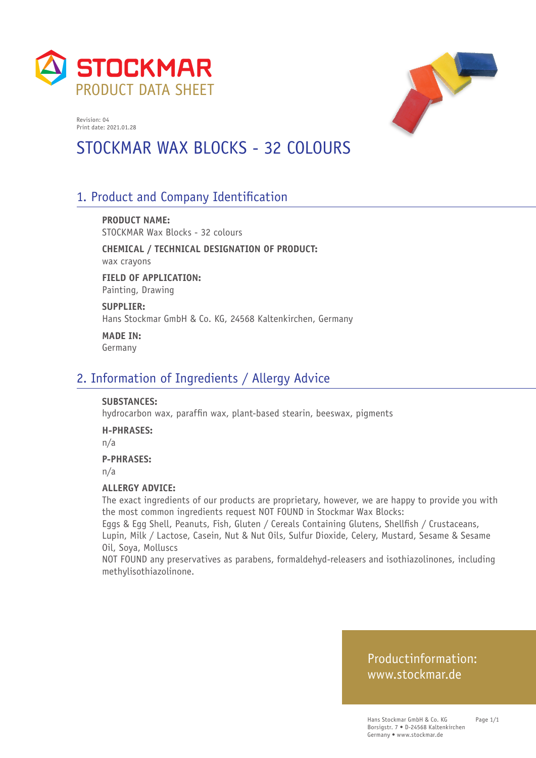



# STOCKMAR WAX BLOCKS - 32 COLOURS

# 1. Product and Company Identification

**PRODUCT NAME:** STOCKMAR Wax Blocks - 32 colours

**CHEMICAL / TECHNICAL DESIGNATION OF PRODUCT:** wax crayons

**FIELD OF APPLICATION:** Painting, Drawing

**SUPPLIER:** Hans Stockmar GmbH & Co. KG, 24568 Kaltenkirchen, Germany

**MADE IN:** Germany

## 2. Information of Ingredients / Allergy Advice

#### **SUBSTANCES:**

hydrocarbon wax, paraffin wax, plant-based stearin, beeswax, pigments

**H-PHRASES:**

n/a

#### **P-PHRASES:**

n/a

#### **ALLERGY ADVICE:**

The exact ingredients of our products are proprietary, however, we are happy to provide you with the most common ingredients request NOT FOUND in Stockmar Wax Blocks:

Eggs & Egg Shell, Peanuts, Fish, Gluten / Cereals Containing Glutens, Shellfish / Crustaceans, Lupin, Milk / Lactose, Casein, Nut & Nut Oils, Sulfur Dioxide, Celery, Mustard, Sesame & Sesame Oil, Soya, Molluscs

NOT FOUND any preservatives as parabens, formaldehyd-releasers and isothiazolinones, including methylisothiazolinone.

## Productinformation: www.stockmar.de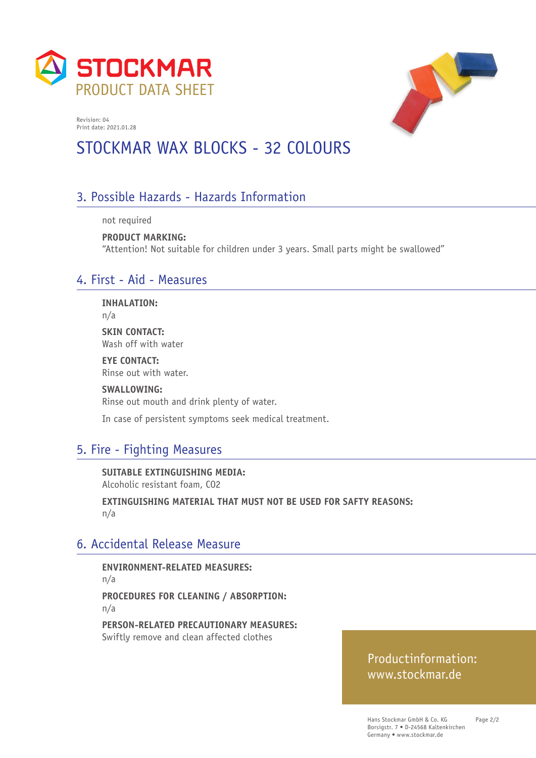



# STOCKMAR WAX BLOCKS - 32 COLOURS

# 3. Possible Hazards - Hazards Information

not required

**PRODUCT MARKING:**  "Attention! Not suitable for children under 3 years. Small parts might be swallowed"

## 4. First - Aid - Measures

**INHALATION:**

n/a

**SKIN CONTACT:** Wash off with water

**EYE CONTACT:** Rinse out with water.

**SWALLOWING:** Rinse out mouth and drink plenty of water.

In case of persistent symptoms seek medical treatment.

# 5. Fire - Fighting Measures

**SUITABLE EXTINGUISHING MEDIA:**  Alcoholic resistant foam, CO2

**EXTINGUISHING MATERIAL THAT MUST NOT BE USED FOR SAFTY REASONS:**  n/a

# 6. Accidental Release Measure

**ENVIRONMENT-RELATED MEASURES:**  n/a **PROCEDURES FOR CLEANING / ABSORPTION:**  n/a

**PERSON-RELATED PRECAUTIONARY MEASURES:**  Swiftly remove and clean affected clothes

## Productinformation: www.stockmar.de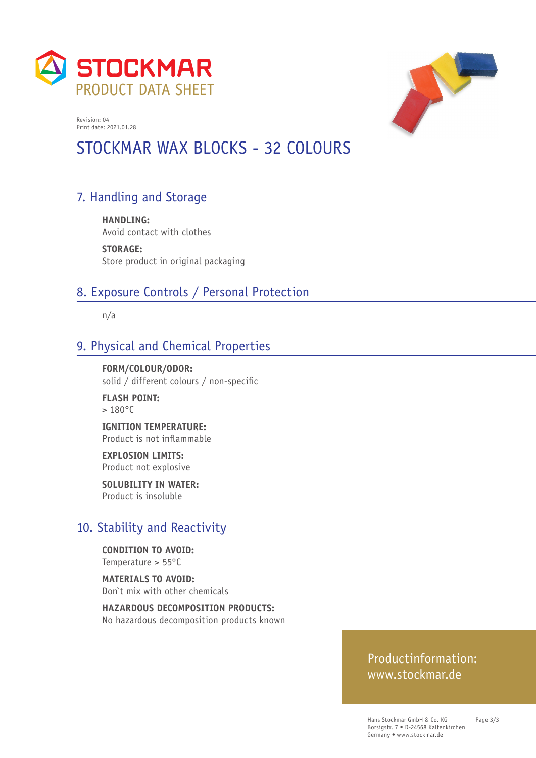



# STOCKMAR WAX BLOCKS - 32 COLOURS

# 7. Handling and Storage

**HANDLING:**  Avoid contact with clothes

**STORAGE:**  Store product in original packaging

# 8. Exposure Controls / Personal Protection

n/a

## 9. Physical and Chemical Properties

**FORM/COLOUR/ODOR:**  solid / different colours / non-specific

**FLASH POINT:**   $> 180^{\circ}$ C

**IGNITION TEMPERATURE:**  Product is not inflammable

**EXPLOSION LIMITS:**  Product not explosive

**SOLUBILITY IN WATER:**  Product is insoluble

## 10. Stability and Reactivity

**CONDITION TO AVOID:**  Temperature > 55°C

**MATERIALS TO AVOID:**  Don`t mix with other chemicals

**HAZARDOUS DECOMPOSITION PRODUCTS:**  No hazardous decomposition products known

#### Productinformation: www.stockmar.de

Hans Stockmar GmbH & Co. KG Borsigstr. 7 • D-24568 Kaltenkirchen Germany • www.stockmar.de